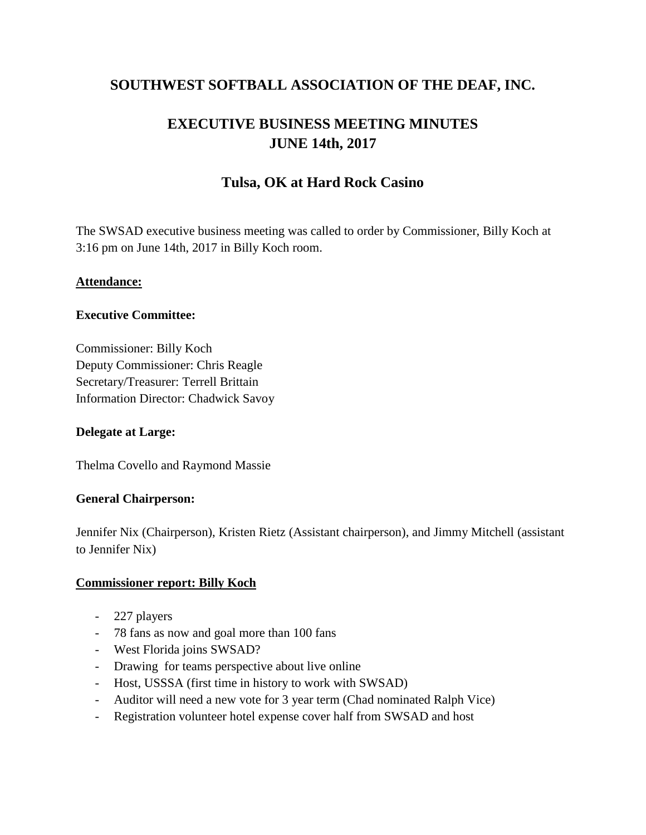# **SOUTHWEST SOFTBALL ASSOCIATION OF THE DEAF, INC.**

# **EXECUTIVE BUSINESS MEETING MINUTES JUNE 14th, 2017**

# **Tulsa, OK at Hard Rock Casino**

The SWSAD executive business meeting was called to order by Commissioner, Billy Koch at 3:16 pm on June 14th, 2017 in Billy Koch room.

#### **Attendance:**

#### **Executive Committee:**

Commissioner: Billy Koch Deputy Commissioner: Chris Reagle Secretary/Treasurer: Terrell Brittain Information Director: Chadwick Savoy

#### **Delegate at Large:**

Thelma Covello and Raymond Massie

#### **General Chairperson:**

Jennifer Nix (Chairperson), Kristen Rietz (Assistant chairperson), and Jimmy Mitchell (assistant to Jennifer Nix)

#### **Commissioner report: Billy Koch**

- 227 players
- 78 fans as now and goal more than 100 fans
- West Florida joins SWSAD?
- Drawing for teams perspective about live online
- Host, USSSA (first time in history to work with SWSAD)
- Auditor will need a new vote for 3 year term (Chad nominated Ralph Vice)
- Registration volunteer hotel expense cover half from SWSAD and host